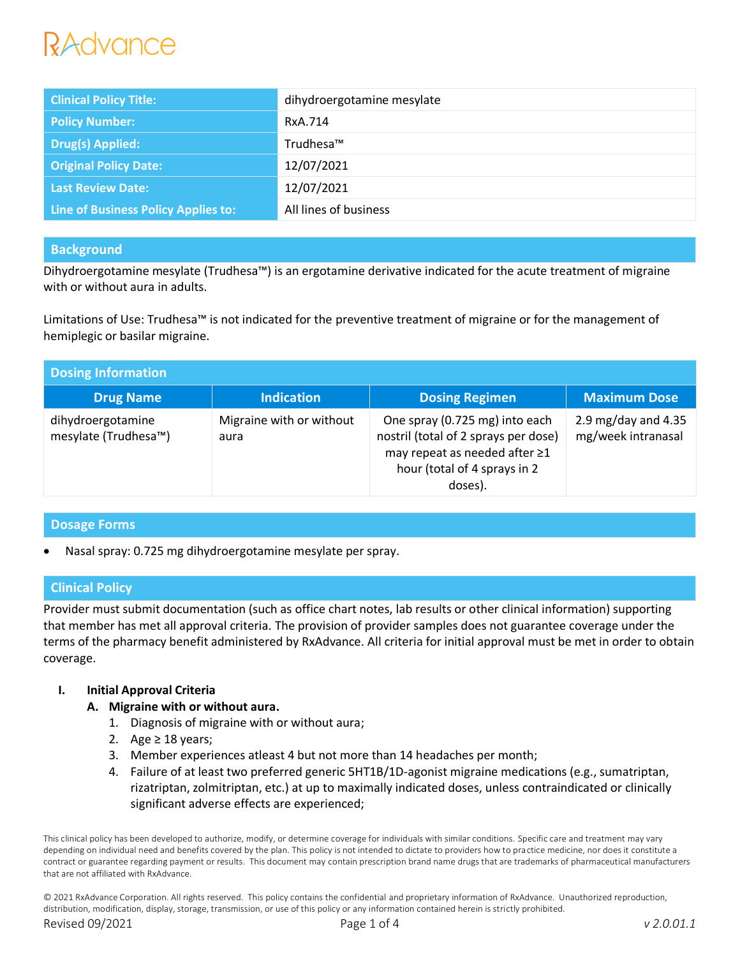# RAdvance

| <b>Clinical Policy Title:</b>              | dihydroergotamine mesylate |
|--------------------------------------------|----------------------------|
| <b>Policy Number:</b>                      | RxA.714                    |
| <b>Drug(s) Applied:</b>                    | Trudhesa™                  |
| <b>Original Policy Date:</b>               | 12/07/2021                 |
| <b>Last Review Date:</b>                   | 12/07/2021                 |
| <b>Line of Business Policy Applies to:</b> | All lines of business      |

## **Background**

Dihydroergotamine mesylate (Trudhesa™) is an ergotamine derivative indicated for the acute treatment of migraine with or without aura in adults.

Limitations of Use: Trudhesa™ is not indicated for the preventive treatment of migraine or for the management of hemiplegic or basilar migraine.

| <b>Dosing Information</b>                 |                                  |                                                                                                                                                    |                                             |  |  |
|-------------------------------------------|----------------------------------|----------------------------------------------------------------------------------------------------------------------------------------------------|---------------------------------------------|--|--|
| <b>Drug Name</b>                          | <b>Indication</b>                | <b>Dosing Regimen</b>                                                                                                                              | <b>Maximum Dose</b>                         |  |  |
| dihydroergotamine<br>mesylate (Trudhesa™) | Migraine with or without<br>aura | One spray (0.725 mg) into each<br>nostril (total of 2 sprays per dose)<br>may repeat as needed after ≥1<br>hour (total of 4 sprays in 2<br>doses). | 2.9 mg/day and $4.35$<br>mg/week intranasal |  |  |

## **Dosage Forms**

Nasal spray: 0.725 mg dihydroergotamine mesylate per spray.

## **Clinical Policy**

Provider must submit documentation (such as office chart notes, lab results or other clinical information) supporting that member has met all approval criteria. The provision of provider samples does not guarantee coverage under the terms of the pharmacy benefit administered by RxAdvance. All criteria for initial approval must be met in order to obtain coverage.

#### **I. Initial Approval Criteria**

- **A. Migraine with or without aura.**
	- 1. Diagnosis of migraine with or without aura;
	- 2. Age  $\geq$  18 years;
	- 3. Member experiences atleast 4 but not more than 14 headaches per month;
	- 4. Failure of at least two preferred generic 5HT1B/1D-agonist migraine medications (e.g., sumatriptan, rizatriptan, zolmitriptan, etc.) at up to maximally indicated doses, unless contraindicated or clinically significant adverse effects are experienced;

This clinical policy has been developed to authorize, modify, or determine coverage for individuals with similar conditions. Specific care and treatment may vary depending on individual need and benefits covered by the plan. This policy is not intended to dictate to providers how to practice medicine, nor does it constitute a contract or guarantee regarding payment or results. This document may contain prescription brand name drugs that are trademarks of pharmaceutical manufacturers that are not affiliated with RxAdvance.

© 2021 RxAdvance Corporation. All rights reserved. This policy contains the confidential and proprietary information of RxAdvance. Unauthorized reproduction, distribution, modification, display, storage, transmission, or use of this policy or any information contained herein is strictly prohibited. Revised 09/2021 Page 1 of 4 *v 2.0.01.1*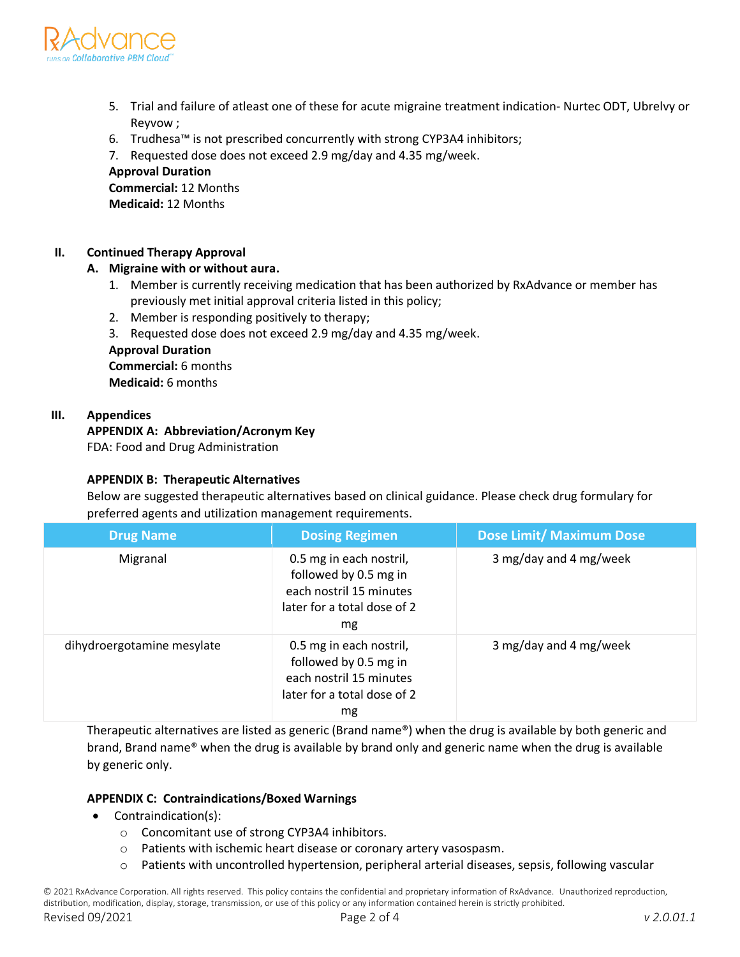

- 5. Trial and failure of atleast one of these for acute migraine treatment indication- Nurtec ODT, Ubrelvy or Reyvow ;
- 6. Trudhesa™ is not prescribed concurrently with strong CYP3A4 inhibitors;

7. Requested dose does not exceed 2.9 mg/day and 4.35 mg/week.

**Approval Duration Commercial:** 12 Months

**Medicaid:** 12 Months

## **II. Continued Therapy Approval**

## **A. Migraine with or without aura.**

- 1. Member is currently receiving medication that has been authorized by RxAdvance or member has previously met initial approval criteria listed in this policy;
- 2. Member is responding positively to therapy;
- 3. Requested dose does not exceed 2.9 mg/day and 4.35 mg/week.

## **Approval Duration**

**Commercial:** 6 months **Medicaid:** 6 months

#### **III. Appendices**

### **APPENDIX A: Abbreviation/Acronym Key**

FDA: Food and Drug Administration

#### **APPENDIX B: Therapeutic Alternatives**

Below are suggested therapeutic alternatives based on clinical guidance. Please check drug formulary for preferred agents and utilization management requirements.

| <b>Drug Name</b>           | <b>Dosing Regimen</b>                                                                                            | <b>Dose Limit/ Maximum Dose</b> |
|----------------------------|------------------------------------------------------------------------------------------------------------------|---------------------------------|
| Migranal                   | 0.5 mg in each nostril,<br>followed by 0.5 mg in<br>each nostril 15 minutes<br>later for a total dose of 2<br>mg | 3 mg/day and 4 mg/week          |
| dihydroergotamine mesylate | 0.5 mg in each nostril,<br>followed by 0.5 mg in<br>each nostril 15 minutes<br>later for a total dose of 2<br>mg | 3 mg/day and 4 mg/week          |

Therapeutic alternatives are listed as generic (Brand name®) when the drug is available by both generic and brand, Brand name® when the drug is available by brand only and generic name when the drug is available by generic only.

#### **APPENDIX C: Contraindications/Boxed Warnings**

- Contraindication(s):
	- o Concomitant use of strong CYP3A4 inhibitors.
	- o Patients with ischemic heart disease or coronary artery vasospasm.
	- $\circ$  Patients with uncontrolled hypertension, peripheral arterial diseases, sepsis, following vascular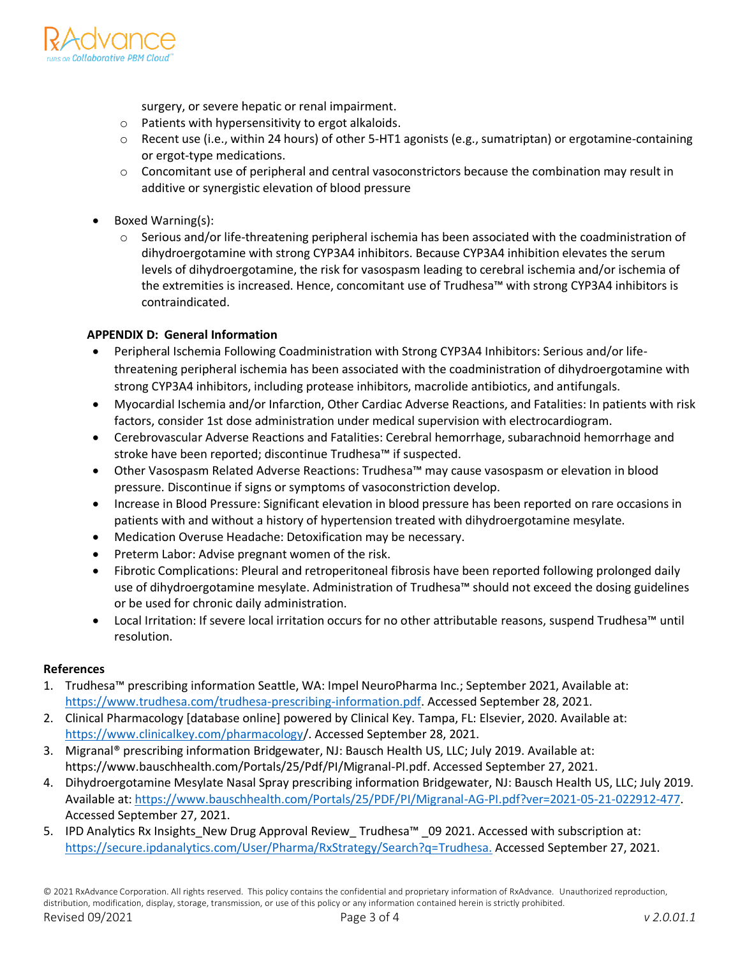

surgery, or severe hepatic or renal impairment.

- o Patients with hypersensitivity to ergot alkaloids.
- o Recent use (i.e., within 24 hours) of other 5-HT1 agonists (e.g., sumatriptan) or ergotamine-containing or ergot-type medications.
- o Concomitant use of peripheral and central vasoconstrictors because the combination may result in additive or synergistic elevation of blood pressure
- Boxed Warning(s):
	- o Serious and/or life-threatening peripheral ischemia has been associated with the coadministration of dihydroergotamine with strong CYP3A4 inhibitors. Because CYP3A4 inhibition elevates the serum levels of dihydroergotamine, the risk for vasospasm leading to cerebral ischemia and/or ischemia of the extremities is increased. Hence, concomitant use of Trudhesa™ with strong CYP3A4 inhibitors is contraindicated.

#### **APPENDIX D: General Information**

- Peripheral Ischemia Following Coadministration with Strong CYP3A4 Inhibitors: Serious and/or lifethreatening peripheral ischemia has been associated with the coadministration of dihydroergotamine with strong CYP3A4 inhibitors, including protease inhibitors, macrolide antibiotics, and antifungals.
- Myocardial Ischemia and/or Infarction, Other Cardiac Adverse Reactions, and Fatalities: In patients with risk factors, consider 1st dose administration under medical supervision with electrocardiogram.
- Cerebrovascular Adverse Reactions and Fatalities: Cerebral hemorrhage, subarachnoid hemorrhage and stroke have been reported; discontinue Trudhesa™ if suspected.
- Other Vasospasm Related Adverse Reactions: Trudhesa™ may cause vasospasm or elevation in blood pressure. Discontinue if signs or symptoms of vasoconstriction develop.
- Increase in Blood Pressure: Significant elevation in blood pressure has been reported on rare occasions in patients with and without a history of hypertension treated with dihydroergotamine mesylate.
- Medication Overuse Headache: Detoxification may be necessary.
- Preterm Labor: Advise pregnant women of the risk.
- Fibrotic Complications: Pleural and retroperitoneal fibrosis have been reported following prolonged daily use of dihydroergotamine mesylate. Administration of Trudhesa™ should not exceed the dosing guidelines or be used for chronic daily administration.
- Local Irritation: If severe local irritation occurs for no other attributable reasons, suspend Trudhesa™ until resolution.

#### **References**

- 1. Trudhesa™ prescribing information Seattle, WA: Impel NeuroPharma Inc.; September 2021, Available at: [https://www.trudhesa.com/trudhesa-prescribing-information.pdf.](https://www.trudhesa.com/trudhesa-prescribing-information.pdf) Accessed September 28, 2021.
- 2. Clinical Pharmacology [database online] powered by Clinical Key. Tampa, FL: Elsevier, 2020. Available at: https://www.clinicalkey.com/pharmacology/. Accessed September 28, 2021.
- 3. Migranal® prescribing information Bridgewater, NJ: Bausch Health US, LLC; July 2019. Available at: https://www.bauschhealth.com/Portals/25/Pdf/PI/Migranal-PI.pdf. Accessed September 27, 2021.
- 4. Dihydroergotamine Mesylate Nasal Spray prescribing information Bridgewater, NJ: Bausch Health US, LLC; July 2019. Available at[: https://www.bauschhealth.com/Portals/25/PDF/PI/Migranal-AG-PI.pdf?ver=2021-05-21-022912-477.](https://www.bauschhealth.com/Portals/25/PDF/PI/Migranal-AG-PI.pdf?ver=2021-05-21-022912-477) Accessed September 27, 2021.
- 5. IPD Analytics Rx Insights\_New Drug Approval Review\_ Trudhesa™ \_09 2021. Accessed with subscription at: https://secure.ipdanalytics.com/User/Pharma/RxStrategy/Search?q=Trudhesa. Accessed September 27, 2021.